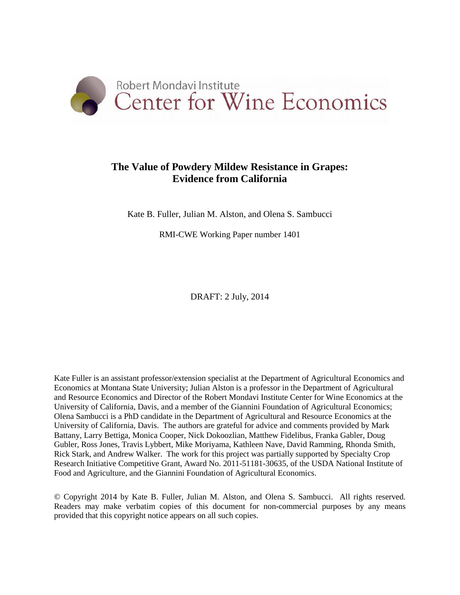

# **The Value of Powdery Mildew Resistance in Grapes: Evidence from California**

Kate B. Fuller, Julian M. Alston, and Olena S. Sambucci

RMI-CWE Working Paper number 1401

DRAFT: 2 July, 2014

Kate Fuller is an assistant professor/extension specialist at the Department of Agricultural Economics and Economics at Montana State University; Julian Alston is a professor in the Department of Agricultural and Resource Economics and Director of the Robert Mondavi Institute Center for Wine Economics at the University of California, Davis, and a member of the Giannini Foundation of Agricultural Economics; Olena Sambucci is a PhD candidate in the Department of Agricultural and Resource Economics at the University of California, Davis. The authors are grateful for advice and comments provided by Mark Battany, Larry Bettiga, Monica Cooper, Nick Dokoozlian, Matthew Fidelibus, Franka Gabler, Doug Gubler, Ross Jones, Travis Lybbert, Mike Moriyama, Kathleen Nave, David Ramming, Rhonda Smith, Rick Stark, and Andrew Walker. The work for this project was partially supported by Specialty Crop Research Initiative Competitive Grant, Award No. 2011-51181-30635, of the USDA National Institute of Food and Agriculture, and the Giannini Foundation of Agricultural Economics.

© Copyright 2014 by Kate B. Fuller, Julian M. Alston, and Olena S. Sambucci. All rights reserved. Readers may make verbatim copies of this document for non-commercial purposes by any means provided that this copyright notice appears on all such copies.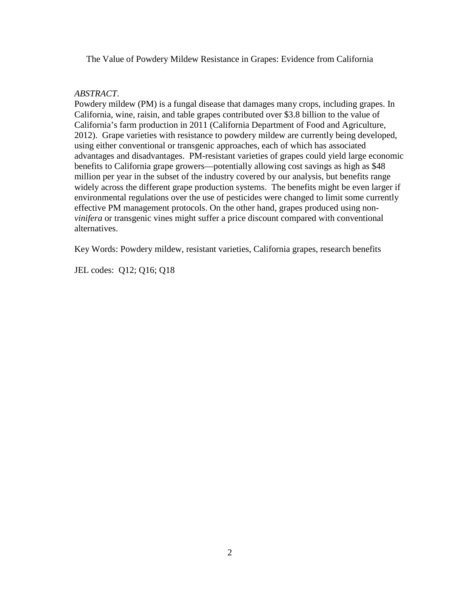The Value of Powdery Mildew Resistance in Grapes: Evidence from California

## *ABSTRACT*.

Powdery mildew (PM) is a fungal disease that damages many crops, including grapes. In California, wine, raisin, and table grapes contributed over \$3.8 billion to the value of California's farm production in 2011 (California Department of Food and Agriculture, 2012). Grape varieties with resistance to powdery mildew are currently being developed, using either conventional or transgenic approaches, each of which has associated advantages and disadvantages. PM-resistant varieties of grapes could yield large economic benefits to California grape growers—potentially allowing cost savings as high as \$48 million per year in the subset of the industry covered by our analysis, but benefits range widely across the different grape production systems. The benefits might be even larger if environmental regulations over the use of pesticides were changed to limit some currently effective PM management protocols. On the other hand, grapes produced using non*vinifera* or transgenic vines might suffer a price discount compared with conventional alternatives.

Key Words: Powdery mildew, resistant varieties, California grapes, research benefits

JEL codes: Q12; Q16; Q18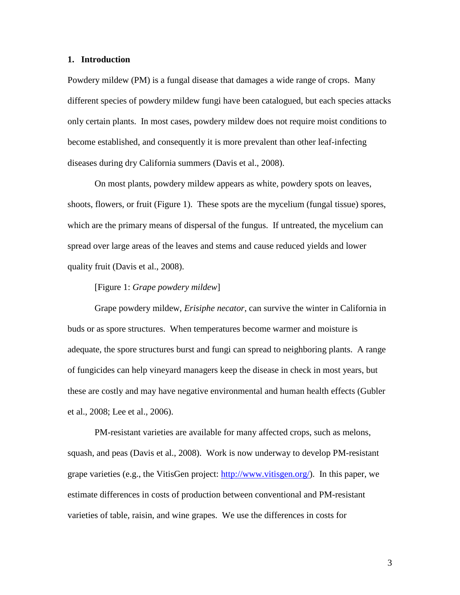#### **1. Introduction**

Powdery mildew (PM) is a fungal disease that damages a wide range of crops. Many different species of powdery mildew fungi have been catalogued, but each species attacks only certain plants. In most cases, powdery mildew does not require moist conditions to become established, and consequently it is more prevalent than other leaf-infecting diseases during dry California summers [\(Davis et al., 2008\)](#page-25-0).

On most plants, powdery mildew appears as white, powdery spots on leaves, shoots, flowers, or fruit (Figure 1). These spots are the mycelium (fungal tissue) spores, which are the primary means of dispersal of the fungus. If untreated, the mycelium can spread over large areas of the leaves and stems and cause reduced yields and lower quality fruit [\(Davis et al., 2008\)](#page-25-0).

#### [Figure 1: *Grape powdery mildew*]

Grape powdery mildew, *Erisiphe necator*, can survive the winter in California in buds or as spore structures. When temperatures become warmer and moisture is adequate, the spore structures burst and fungi can spread to neighboring plants. A range of fungicides can help vineyard managers keep the disease in check in most years, but these are costly and may have negative environmental and human health effects [\(Gubler](#page-26-0)  [et al., 2008;](#page-26-0) [Lee et al., 2006\)](#page-26-1).

PM-resistant varieties are available for many affected crops, such as melons, squash, and peas [\(Davis et al., 2008\)](#page-25-0). Work is now underway to develop PM-resistant grape varieties (e.g., the VitisGen project: [http://www.vitisgen.org/\)](http://www.vitisgen.org/). In this paper, we estimate differences in costs of production between conventional and PM-resistant varieties of table, raisin, and wine grapes. We use the differences in costs for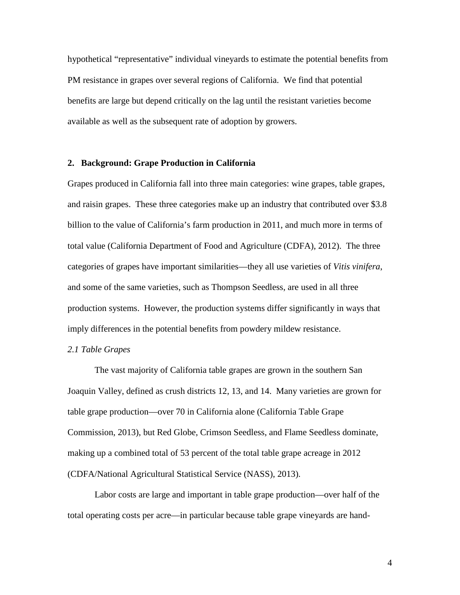hypothetical "representative" individual vineyards to estimate the potential benefits from PM resistance in grapes over several regions of California. We find that potential benefits are large but depend critically on the lag until the resistant varieties become available as well as the subsequent rate of adoption by growers.

## **2. Background: Grape Production in California**

Grapes produced in California fall into three main categories: wine grapes, table grapes, and raisin grapes. These three categories make up an industry that contributed over \$3.8 billion to the value of California's farm production in 2011, and much more in terms of total value (California Department of Food and Agriculture (CDFA), 2012). The three categories of grapes have important similarities—they all use varieties of *Vitis vinifera*, and some of the same varieties, such as Thompson Seedless, are used in all three production systems. However, the production systems differ significantly in ways that imply differences in the potential benefits from powdery mildew resistance.

## *2.1 Table Grapes*

The vast majority of California table grapes are grown in the southern San Joaquin Valley, defined as crush districts 12, 13, and 14. Many varieties are grown for table grape production—over 70 in California alone [\(California Table Grape](#page-25-1)  [Commission, 2013\)](#page-25-1), but Red Globe, Crimson Seedless, and Flame Seedless dominate, making up a combined total of 53 percent of the total table grape acreage in 2012 (CDFA/National Agricultural Statistical Service (NASS), 2013).

Labor costs are large and important in table grape production—over half of the total operating costs per acre—in particular because table grape vineyards are hand-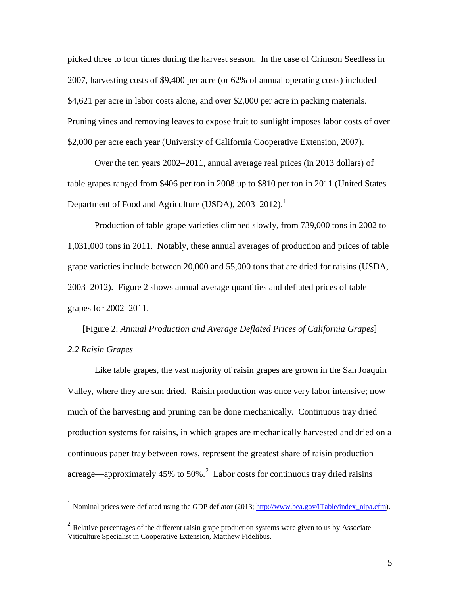picked three to four times during the harvest season. In the case of Crimson Seedless in 2007, harvesting costs of \$9,400 per acre (or 62% of annual operating costs) included \$4,621 per acre in labor costs alone, and over \$2,000 per acre in packing materials. Pruning vines and removing leaves to expose fruit to sunlight imposes labor costs of over \$2,000 per acre each year [\(University of California Cooperative Extension, 2007\)](#page-27-0).

Over the ten years 2002–2011, annual average real prices (in 2013 dollars) of table grapes ranged from \$406 per ton in 2008 up to \$810 per ton in 2011 (United States Department of Food and Agriculture (USDA), 2003–20[1](#page-4-0)2).<sup>1</sup>

Production of table grape varieties climbed slowly, from 739,000 tons in 2002 to 1,031,000 tons in 2011. Notably, these annual averages of production and prices of table grape varieties include between 20,000 and 55,000 tons that are dried for raisins (USDA, 2003–2012). Figure 2 shows annual average quantities and deflated prices of table grapes for 2002–2011.

[Figure 2: *Annual Production and Average Deflated Prices of California Grapes*] *2.2 Raisin Grapes*

Like table grapes, the vast majority of raisin grapes are grown in the San Joaquin Valley, where they are sun dried. Raisin production was once very labor intensive; now much of the harvesting and pruning can be done mechanically. Continuous tray dried production systems for raisins, in which grapes are mechanically harvested and dried on a continuous paper tray between rows, represent the greatest share of raisin production acreage—approximately 45% to 50%.<sup>[2](#page-4-1)</sup> Labor costs for continuous tray dried raisins

<span id="page-4-0"></span>Nominal prices were deflated using the GDP deflator (2013; [http://www.bea.gov/iTable/index\\_nipa.cfm\)](http://www.bea.gov/iTable/index_nipa.cfm).

<span id="page-4-1"></span> $2$  Relative percentages of the different raisin grape production systems were given to us by Associate Viticulture Specialist in Cooperative Extension, Matthew Fidelibus.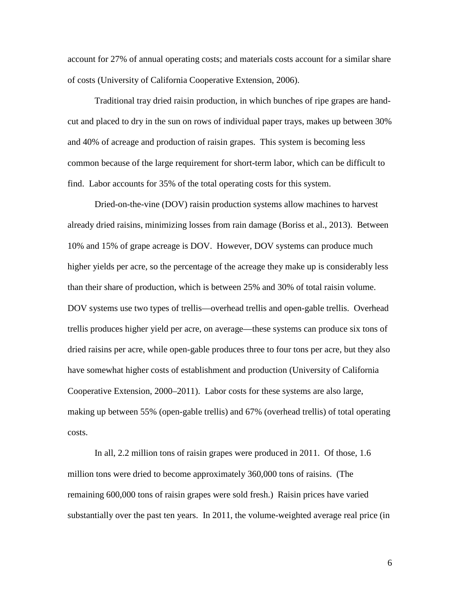account for 27% of annual operating costs; and materials costs account for a similar share of costs [\(University of California Cooperative Extension, 2006\)](#page-27-1).

Traditional tray dried raisin production, in which bunches of ripe grapes are handcut and placed to dry in the sun on rows of individual paper trays, makes up between 30% and 40% of acreage and production of raisin grapes. This system is becoming less common because of the large requirement for short-term labor, which can be difficult to find. Labor accounts for 35% of the total operating costs for this system.

Dried-on-the-vine (DOV) raisin production systems allow machines to harvest already dried raisins, minimizing losses from rain damage [\(Boriss et al., 2013\)](#page-25-2). Between 10% and 15% of grape acreage is DOV. However, DOV systems can produce much higher yields per acre, so the percentage of the acreage they make up is considerably less than their share of production, which is between 25% and 30% of total raisin volume. DOV systems use two types of trellis—overhead trellis and open-gable trellis. Overhead trellis produces higher yield per acre, on average—these systems can produce six tons of dried raisins per acre, while open-gable produces three to four tons per acre, but they also have somewhat higher costs of establishment and production (University of California Cooperative Extension, 2000–2011). Labor costs for these systems are also large, making up between 55% (open-gable trellis) and 67% (overhead trellis) of total operating costs.

In all, 2.2 million tons of raisin grapes were produced in 2011. Of those, 1.6 million tons were dried to become approximately 360,000 tons of raisins. (The remaining 600,000 tons of raisin grapes were sold fresh.) Raisin prices have varied substantially over the past ten years. In 2011, the volume-weighted average real price (in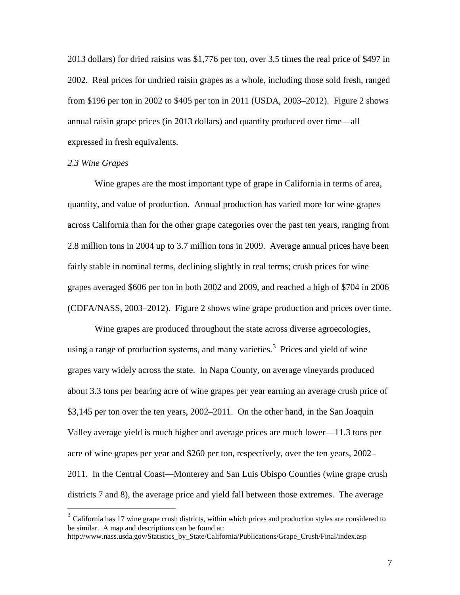2013 dollars) for dried raisins was \$1,776 per ton, over 3.5 times the real price of \$497 in 2002. Real prices for undried raisin grapes as a whole, including those sold fresh, ranged from \$196 per ton in 2002 to \$405 per ton in 2011 (USDA, 2003–2012). Figure 2 shows annual raisin grape prices (in 2013 dollars) and quantity produced over time—all expressed in fresh equivalents.

#### *2.3 Wine Grapes*

Wine grapes are the most important type of grape in California in terms of area, quantity, and value of production. Annual production has varied more for wine grapes across California than for the other grape categories over the past ten years, ranging from 2.8 million tons in 2004 up to 3.7 million tons in 2009. Average annual prices have been fairly stable in nominal terms, declining slightly in real terms; crush prices for wine grapes averaged \$606 per ton in both 2002 and 2009, and reached a high of \$704 in 2006 (CDFA/NASS, 2003–2012). Figure 2 shows wine grape production and prices over time.

Wine grapes are produced throughout the state across diverse agroecologies, using a range of production systems, and many varieties.<sup>[3](#page-6-0)</sup> Prices and yield of wine grapes vary widely across the state. In Napa County, on average vineyards produced about 3.3 tons per bearing acre of wine grapes per year earning an average crush price of \$3,145 per ton over the ten years, 2002–2011. On the other hand, in the San Joaquin Valley average yield is much higher and average prices are much lower—11.3 tons per acre of wine grapes per year and \$260 per ton, respectively, over the ten years, 2002– 2011. In the Central Coast—Monterey and San Luis Obispo Counties (wine grape crush districts 7 and 8), the average price and yield fall between those extremes. The average

<span id="page-6-0"></span><sup>&</sup>lt;sup>3</sup> California has 17 wine grape crush districts, within which prices and production styles are considered to be similar. A map and descriptions can be found at:

http://www.nass.usda.gov/Statistics\_by\_State/California/Publications/Grape\_Crush/Final/index.asp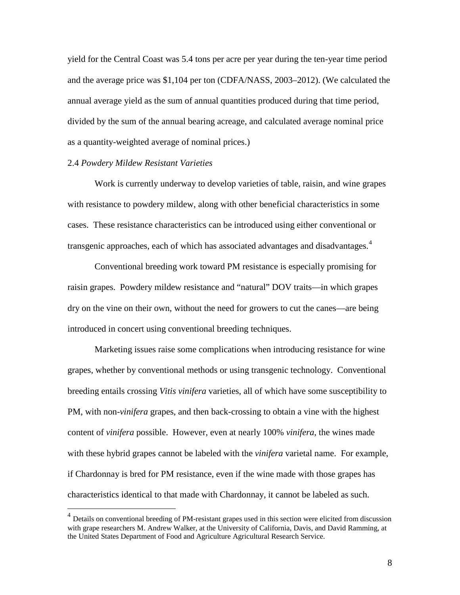yield for the Central Coast was 5.4 tons per acre per year during the ten-year time period and the average price was \$1,104 per ton (CDFA/NASS, 2003–2012). (We calculated the annual average yield as the sum of annual quantities produced during that time period, divided by the sum of the annual bearing acreage, and calculated average nominal price as a quantity-weighted average of nominal prices.)

#### 2.4 *Powdery Mildew Resistant Varieties*

Work is currently underway to develop varieties of table, raisin, and wine grapes with resistance to powdery mildew, along with other beneficial characteristics in some cases. These resistance characteristics can be introduced using either conventional or transgenic approaches, each of which has associated advantages and disadvantages.<sup>[4](#page-7-0)</sup>

Conventional breeding work toward PM resistance is especially promising for raisin grapes. Powdery mildew resistance and "natural" DOV traits—in which grapes dry on the vine on their own, without the need for growers to cut the canes—are being introduced in concert using conventional breeding techniques.

Marketing issues raise some complications when introducing resistance for wine grapes, whether by conventional methods or using transgenic technology. Conventional breeding entails crossing *Vitis vinifera* varieties, all of which have some susceptibility to PM, with non-*vinifera* grapes, and then back-crossing to obtain a vine with the highest content of *vinifera* possible. However, even at nearly 100% *vinifera*, the wines made with these hybrid grapes cannot be labeled with the *vinifera* varietal name. For example, if Chardonnay is bred for PM resistance, even if the wine made with those grapes has characteristics identical to that made with Chardonnay, it cannot be labeled as such.

<span id="page-7-0"></span><sup>&</sup>lt;sup>4</sup> Details on conventional breeding of PM-resistant grapes used in this section were elicited from discussion with grape researchers M. Andrew Walker, at the University of California, Davis, and David Ramming, at the United States Department of Food and Agriculture Agricultural Research Service.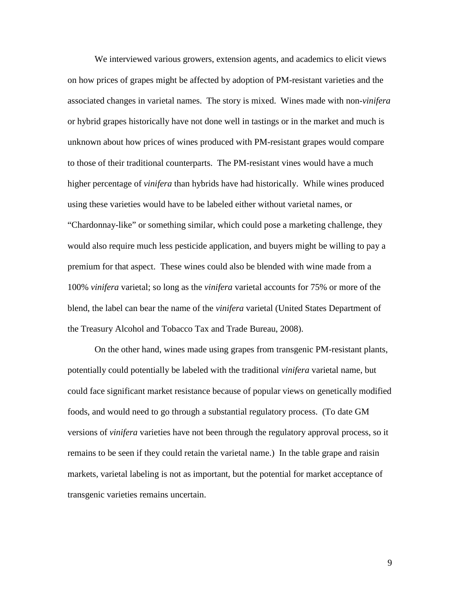We interviewed various growers, extension agents, and academics to elicit views on how prices of grapes might be affected by adoption of PM-resistant varieties and the associated changes in varietal names. The story is mixed. Wines made with non-*vinifera*  or hybrid grapes historically have not done well in tastings or in the market and much is unknown about how prices of wines produced with PM-resistant grapes would compare to those of their traditional counterparts. The PM-resistant vines would have a much higher percentage of *vinifera* than hybrids have had historically. While wines produced using these varieties would have to be labeled either without varietal names, or "Chardonnay-like" or something similar, which could pose a marketing challenge, they would also require much less pesticide application, and buyers might be willing to pay a premium for that aspect. These wines could also be blended with wine made from a 100% *vinifera* varietal; so long as the *vinifera* varietal accounts for 75% or more of the blend, the label can bear the name of the *vinifera* varietal [\(United States Department of](#page-26-2)  [the Treasury Alcohol and Tobacco Tax and Trade Bureau, 2008\)](#page-26-2).

On the other hand, wines made using grapes from transgenic PM-resistant plants, potentially could potentially be labeled with the traditional *vinifera* varietal name, but could face significant market resistance because of popular views on genetically modified foods, and would need to go through a substantial regulatory process. (To date GM versions of *vinifera* varieties have not been through the regulatory approval process, so it remains to be seen if they could retain the varietal name.) In the table grape and raisin markets, varietal labeling is not as important, but the potential for market acceptance of transgenic varieties remains uncertain.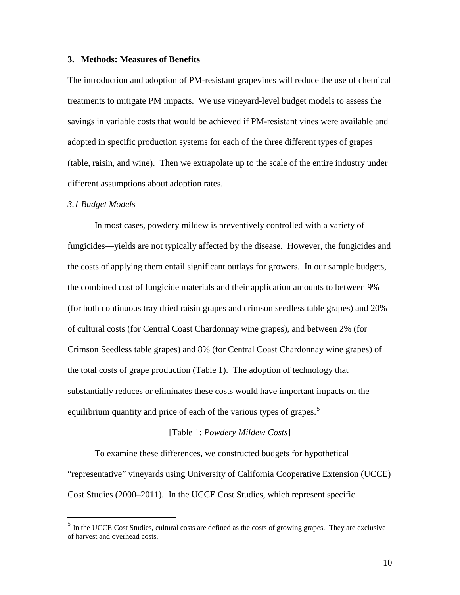## **3. Methods: Measures of Benefits**

The introduction and adoption of PM-resistant grapevines will reduce the use of chemical treatments to mitigate PM impacts. We use vineyard-level budget models to assess the savings in variable costs that would be achieved if PM-resistant vines were available and adopted in specific production systems for each of the three different types of grapes (table, raisin, and wine). Then we extrapolate up to the scale of the entire industry under different assumptions about adoption rates.

#### *3.1 Budget Models*

In most cases, powdery mildew is preventively controlled with a variety of fungicides—yields are not typically affected by the disease. However, the fungicides and the costs of applying them entail significant outlays for growers. In our sample budgets, the combined cost of fungicide materials and their application amounts to between 9% (for both continuous tray dried raisin grapes and crimson seedless table grapes) and 20% of cultural costs (for Central Coast Chardonnay wine grapes), and between 2% (for Crimson Seedless table grapes) and 8% (for Central Coast Chardonnay wine grapes) of the total costs of grape production (Table 1). The adoption of technology that substantially reduces or eliminates these costs would have important impacts on the equilibrium quantity and price of each of the various types of grapes.<sup>[5](#page-9-0)</sup>

#### [Table 1: *Powdery Mildew Costs*]

To examine these differences, we constructed budgets for hypothetical "representative" vineyards using University of California Cooperative Extension (UCCE) Cost Studies (2000–2011). In the UCCE Cost Studies, which represent specific

<span id="page-9-0"></span> <sup>5</sup> In the UCCE Cost Studies, cultural costs are defined as the costs of growing grapes. They are exclusive of harvest and overhead costs.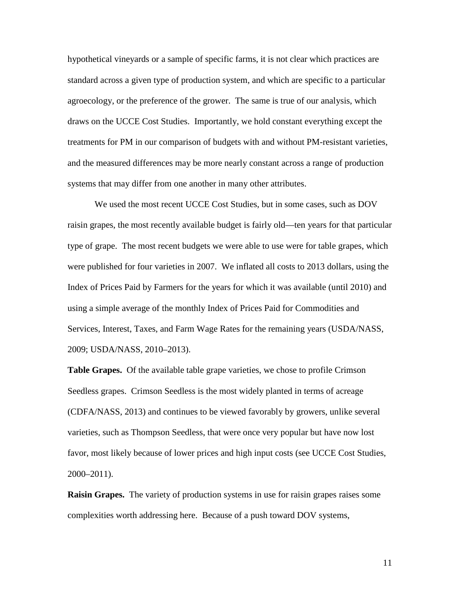hypothetical vineyards or a sample of specific farms, it is not clear which practices are standard across a given type of production system, and which are specific to a particular agroecology, or the preference of the grower. The same is true of our analysis, which draws on the UCCE Cost Studies. Importantly, we hold constant everything except the treatments for PM in our comparison of budgets with and without PM-resistant varieties, and the measured differences may be more nearly constant across a range of production systems that may differ from one another in many other attributes.

We used the most recent UCCE Cost Studies, but in some cases, such as DOV raisin grapes, the most recently available budget is fairly old—ten years for that particular type of grape. The most recent budgets we were able to use were for table grapes, which were published for four varieties in 2007. We inflated all costs to 2013 dollars, using the Index of Prices Paid by Farmers for the years for which it was available (until 2010) and using a simple average of the monthly Index of Prices Paid for Commodities and Services, Interest, Taxes, and Farm Wage Rates for the remaining years (USDA/NASS, 2009; USDA/NASS, 2010–2013).

**Table Grapes.** Of the available table grape varieties, we chose to profile Crimson Seedless grapes. Crimson Seedless is the most widely planted in terms of acreage (CDFA/NASS, 2013) and continues to be viewed favorably by growers, unlike several varieties, such as Thompson Seedless, that were once very popular but have now lost favor, most likely because of lower prices and high input costs (see UCCE Cost Studies, 2000–2011).

**Raisin Grapes.** The variety of production systems in use for raisin grapes raises some complexities worth addressing here. Because of a push toward DOV systems,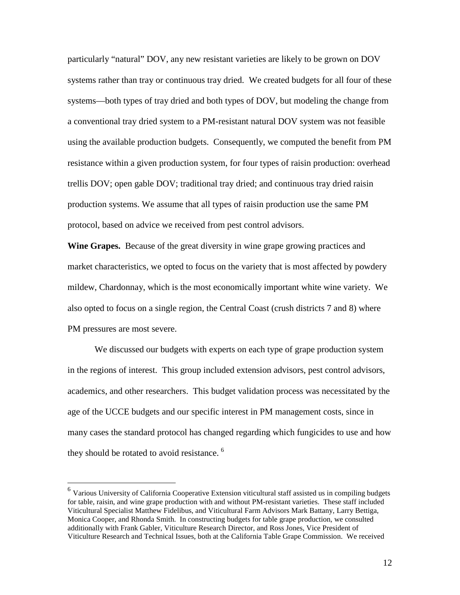particularly "natural" DOV, any new resistant varieties are likely to be grown on DOV systems rather than tray or continuous tray dried. We created budgets for all four of these systems—both types of tray dried and both types of DOV, but modeling the change from a conventional tray dried system to a PM-resistant natural DOV system was not feasible using the available production budgets. Consequently, we computed the benefit from PM resistance within a given production system, for four types of raisin production: overhead trellis DOV; open gable DOV; traditional tray dried; and continuous tray dried raisin production systems. We assume that all types of raisin production use the same PM protocol, based on advice we received from pest control advisors.

**Wine Grapes.** Because of the great diversity in wine grape growing practices and market characteristics, we opted to focus on the variety that is most affected by powdery mildew, Chardonnay, which is the most economically important white wine variety. We also opted to focus on a single region, the Central Coast (crush districts 7 and 8) where PM pressures are most severe.

We discussed our budgets with experts on each type of grape production system in the regions of interest. This group included extension advisors, pest control advisors, academics, and other researchers. This budget validation process was necessitated by the age of the UCCE budgets and our specific interest in PM management costs, since in many cases the standard protocol has changed regarding which fungicides to use and how they should be rotated to avoid resistance.<sup>[6](#page-11-0)</sup>

<span id="page-11-0"></span><sup>&</sup>lt;sup>6</sup> Various University of California Cooperative Extension viticultural staff assisted us in compiling budgets for table, raisin, and wine grape production with and without PM-resistant varieties. These staff included Viticultural Specialist Matthew Fidelibus, and Viticultural Farm Advisors Mark Battany, Larry Bettiga, Monica Cooper, and Rhonda Smith. In constructing budgets for table grape production, we consulted additionally with Frank Gabler, Viticulture Research Director, and Ross Jones, Vice President of Viticulture Research and Technical Issues, both at the California Table Grape Commission. We received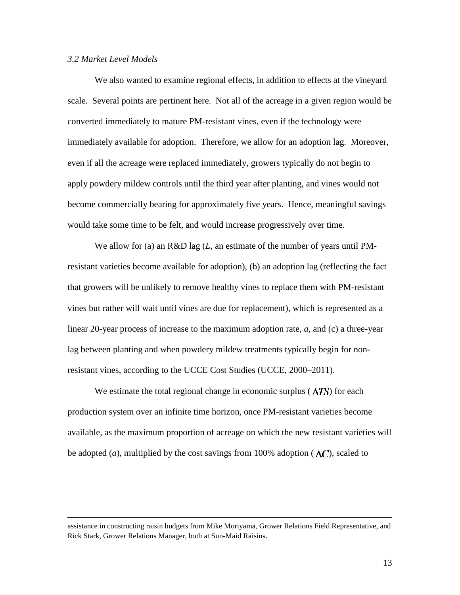## *3.2 Market Level Models*

We also wanted to examine regional effects, in addition to effects at the vineyard scale. Several points are pertinent here. Not all of the acreage in a given region would be converted immediately to mature PM-resistant vines, even if the technology were immediately available for adoption. Therefore, we allow for an adoption lag. Moreover, even if all the acreage were replaced immediately, growers typically do not begin to apply powdery mildew controls until the third year after planting, and vines would not become commercially bearing for approximately five years. Hence, meaningful savings would take some time to be felt, and would increase progressively over time.

We allow for (a) an R&D lag (*L*, an estimate of the number of years until PMresistant varieties become available for adoption), (b) an adoption lag (reflecting the fact that growers will be unlikely to remove healthy vines to replace them with PM-resistant vines but rather will wait until vines are due for replacement), which is represented as a linear 20-year process of increase to the maximum adoption rate, *a*, and (c) a three-year lag between planting and when powdery mildew treatments typically begin for nonresistant vines, according to the UCCE Cost Studies (UCCE, 2000–2011).

We estimate the total regional change in economic surplus  $(\Delta TS)$  for each production system over an infinite time horizon, once PM-resistant varieties become available, as the maximum proportion of acreage on which the new resistant varieties will be adopted (*a*), multiplied by the cost savings from 100% adoption ( $\Delta C$ ), scaled to

assistance in constructing raisin budgets from Mike Moriyama, Grower Relations Field Representative, and Rick Stark, Grower Relations Manager, both at Sun-Maid Raisins.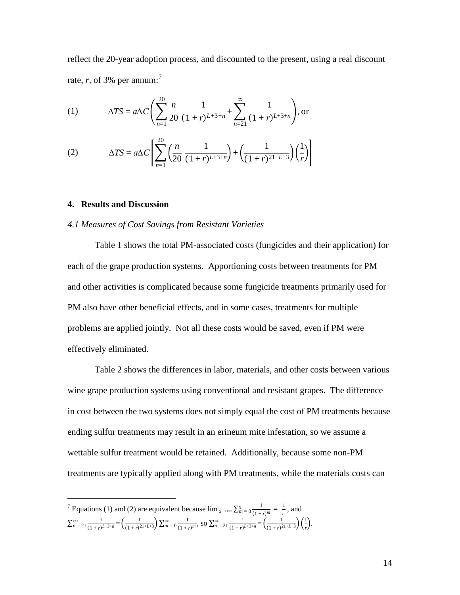reflect the 20-year adoption process, and discounted to the present, using a real discount rate,  $r$ , of 3% per annum:<sup>[7](#page-13-0)</sup>

(1) 
$$
\Delta TS = a\Delta C \left( \sum_{n=1}^{20} \frac{n}{20} \frac{1}{(1+r)^{L+3+n}} + \sum_{n=21}^{\infty} \frac{1}{(1+r)^{L+3+n}} \right), \text{or}
$$

(2) 
$$
\Delta TS = a\Delta C \left[ \sum_{n=1}^{20} \left( \frac{n}{20} \frac{1}{(1+r)^{L+3+n}} \right) + \left( \frac{1}{(1+r)^{21+L+3}} \right) \left( \frac{1}{r} \right) \right]
$$

## **4. Results and Discussion**

#### *4.1 Measures of Cost Savings from Resistant Varieties*

Table 1 shows the total PM-associated costs (fungicides and their application) for each of the grape production systems. Apportioning costs between treatments for PM and other activities is complicated because some fungicide treatments primarily used for PM also have other beneficial effects, and in some cases, treatments for multiple problems are applied jointly. Not all these costs would be saved, even if PM were effectively eliminated.

Table 2 shows the differences in labor, materials, and other costs between various wine grape production systems using conventional and resistant grapes. The difference in cost between the two systems does not simply equal the cost of PM treatments because ending sulfur treatments may result in an erineum mite infestation, so we assume a wettable sulfur treatment would be retained. Additionally, because some non-PM treatments are typically applied along with PM treatments, while the materials costs can

<span id="page-13-0"></span>*T* Equations (1) and (2) are equivalent because  $\lim_{x \to \infty} \sum_{m=0}^{x} \frac{1}{(1+r)^m} = \frac{1}{r}$ , and  $\sum_{n=21}^{\infty} \frac{1}{(1+r)^{L+3+n}}$  $\sum_{n=21}^{\infty} \frac{1}{(1+r)^{L+3+n}} = \left(\frac{1}{(1+r)^{21+L+3}}\right) \sum_{m=0}^{\infty} \frac{1}{(1+r)^m}$  $\sum_{m=0}^{\infty} \frac{1}{(1+r)^m}$ , so  $\sum_{n=21}^{\infty} \frac{1}{(1+r)^{L+3+n}}$  $\sum_{n=21}^{\infty} \frac{1}{(1+r)^{L+3+n}} = \left(\frac{1}{(1+r)^{21+L+3}}\right) \left(\frac{1}{r}\right)$  $\frac{1}{r}$ ).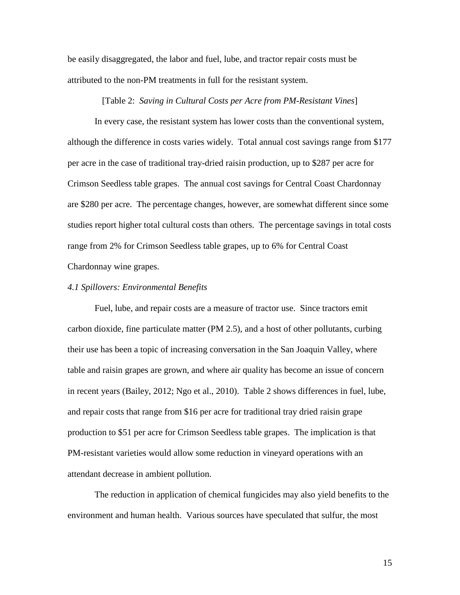be easily disaggregated, the labor and fuel, lube, and tractor repair costs must be attributed to the non-PM treatments in full for the resistant system.

## [Table 2: *Saving in Cultural Costs per Acre from PM-Resistant Vines*]

In every case, the resistant system has lower costs than the conventional system, although the difference in costs varies widely. Total annual cost savings range from \$177 per acre in the case of traditional tray-dried raisin production, up to \$287 per acre for Crimson Seedless table grapes. The annual cost savings for Central Coast Chardonnay are \$280 per acre. The percentage changes, however, are somewhat different since some studies report higher total cultural costs than others. The percentage savings in total costs range from 2% for Crimson Seedless table grapes, up to 6% for Central Coast Chardonnay wine grapes.

#### *4.1 Spillovers: Environmental Benefits*

Fuel, lube, and repair costs are a measure of tractor use. Since tractors emit carbon dioxide, fine particulate matter (PM 2.5), and a host of other pollutants, curbing their use has been a topic of increasing conversation in the San Joaquin Valley, where table and raisin grapes are grown, and where air quality has become an issue of concern in recent years [\(Bailey, 2012;](#page-25-3) [Ngo et al., 2010\)](#page-26-3). Table 2 shows differences in fuel, lube, and repair costs that range from \$16 per acre for traditional tray dried raisin grape production to \$51 per acre for Crimson Seedless table grapes. The implication is that PM-resistant varieties would allow some reduction in vineyard operations with an attendant decrease in ambient pollution.

The reduction in application of chemical fungicides may also yield benefits to the environment and human health. Various sources have speculated that sulfur, the most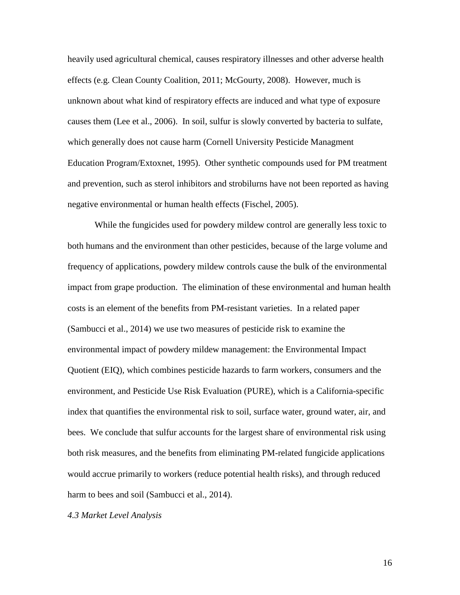heavily used agricultural chemical, causes respiratory illnesses and other adverse health effects (e.g. Clean County Coalition, 2011; McGourty, 2008). However, much is unknown about what kind of respiratory effects are induced and what type of exposure causes them [\(Lee et al., 2006\)](#page-26-1). In soil, sulfur is slowly converted by bacteria to sulfate, which generally does not cause harm [\(Cornell University Pesticide Managment](#page-25-4)  [Education Program/Extoxnet, 1995\)](#page-25-4). Other synthetic compounds used for PM treatment and prevention, such as sterol inhibitors and strobilurns have not been reported as having negative environmental or human health effects [\(Fischel, 2005\)](#page-26-4).

While the fungicides used for powdery mildew control are generally less toxic to both humans and the environment than other pesticides, because of the large volume and frequency of applications, powdery mildew controls cause the bulk of the environmental impact from grape production. The elimination of these environmental and human health costs is an element of the benefits from PM-resistant varieties. In a related paper [\(Sambucci et al., 2014\)](#page-26-5) we use two measures of pesticide risk to examine the environmental impact of powdery mildew management: the Environmental Impact Quotient (EIQ), which combines pesticide hazards to farm workers, consumers and the environment, and Pesticide Use Risk Evaluation (PURE), which is a California-specific index that quantifies the environmental risk to soil, surface water, ground water, air, and bees. We conclude that sulfur accounts for the largest share of environmental risk using both risk measures, and the benefits from eliminating PM-related fungicide applications would accrue primarily to workers (reduce potential health risks), and through reduced harm to bees and soil [\(Sambucci et al., 2014\)](#page-26-5).

*4.3 Market Level Analysis*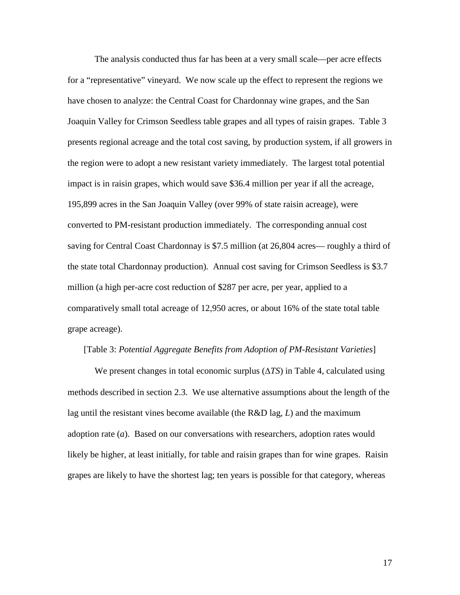The analysis conducted thus far has been at a very small scale—per acre effects for a "representative" vineyard. We now scale up the effect to represent the regions we have chosen to analyze: the Central Coast for Chardonnay wine grapes, and the San Joaquin Valley for Crimson Seedless table grapes and all types of raisin grapes. Table 3 presents regional acreage and the total cost saving, by production system, if all growers in the region were to adopt a new resistant variety immediately. The largest total potential impact is in raisin grapes, which would save \$36.4 million per year if all the acreage, 195,899 acres in the San Joaquin Valley (over 99% of state raisin acreage), were converted to PM-resistant production immediately. The corresponding annual cost saving for Central Coast Chardonnay is \$7.5 million (at 26,804 acres— roughly a third of the state total Chardonnay production). Annual cost saving for Crimson Seedless is \$3.7 million (a high per-acre cost reduction of \$287 per acre, per year, applied to a comparatively small total acreage of 12,950 acres, or about 16% of the state total table grape acreage).

#### [Table 3: *Potential Aggregate Benefits from Adoption of PM-Resistant Varieties*]

We present changes in total economic surplus (∆*TS*) in Table 4, calculated using methods described in section 2.3. We use alternative assumptions about the length of the lag until the resistant vines become available (the R&D lag, *L*) and the maximum adoption rate (*a*). Based on our conversations with researchers, adoption rates would likely be higher, at least initially, for table and raisin grapes than for wine grapes. Raisin grapes are likely to have the shortest lag; ten years is possible for that category, whereas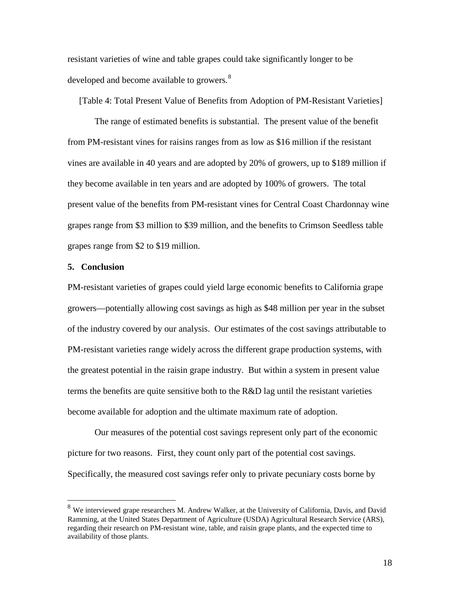resistant varieties of wine and table grapes could take significantly longer to be developed and become available to growers.<sup>[8](#page-17-0)</sup>

[Table 4: Total Present Value of Benefits from Adoption of PM-Resistant Varieties]

The range of estimated benefits is substantial. The present value of the benefit from PM-resistant vines for raisins ranges from as low as \$16 million if the resistant vines are available in 40 years and are adopted by 20% of growers, up to \$189 million if they become available in ten years and are adopted by 100% of growers. The total present value of the benefits from PM-resistant vines for Central Coast Chardonnay wine grapes range from \$3 million to \$39 million, and the benefits to Crimson Seedless table grapes range from \$2 to \$19 million.

#### **5. Conclusion**

PM-resistant varieties of grapes could yield large economic benefits to California grape growers—potentially allowing cost savings as high as \$48 million per year in the subset of the industry covered by our analysis. Our estimates of the cost savings attributable to PM-resistant varieties range widely across the different grape production systems, with the greatest potential in the raisin grape industry. But within a system in present value terms the benefits are quite sensitive both to the R&D lag until the resistant varieties become available for adoption and the ultimate maximum rate of adoption.

Our measures of the potential cost savings represent only part of the economic picture for two reasons. First, they count only part of the potential cost savings. Specifically, the measured cost savings refer only to private pecuniary costs borne by

<span id="page-17-0"></span><sup>&</sup>lt;sup>8</sup> We interviewed grape researchers M. Andrew Walker, at the University of California, Davis, and David Ramming, at the United States Department of Agriculture (USDA) Agricultural Research Service (ARS), regarding their research on PM-resistant wine, table, and raisin grape plants, and the expected time to availability of those plants.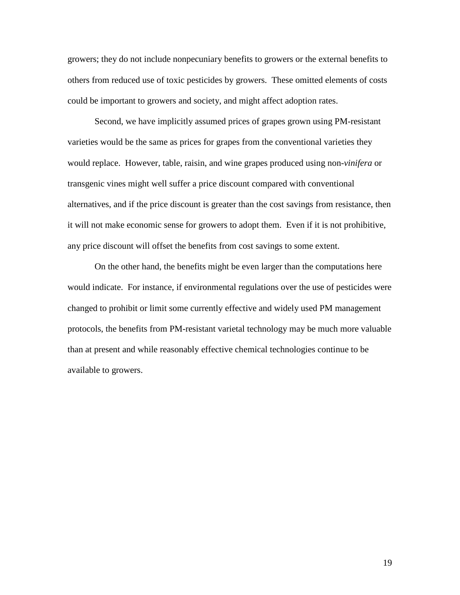growers; they do not include nonpecuniary benefits to growers or the external benefits to others from reduced use of toxic pesticides by growers. These omitted elements of costs could be important to growers and society, and might affect adoption rates.

Second, we have implicitly assumed prices of grapes grown using PM-resistant varieties would be the same as prices for grapes from the conventional varieties they would replace. However, table, raisin, and wine grapes produced using non-*vinifera* or transgenic vines might well suffer a price discount compared with conventional alternatives, and if the price discount is greater than the cost savings from resistance, then it will not make economic sense for growers to adopt them. Even if it is not prohibitive, any price discount will offset the benefits from cost savings to some extent.

On the other hand, the benefits might be even larger than the computations here would indicate. For instance, if environmental regulations over the use of pesticides were changed to prohibit or limit some currently effective and widely used PM management protocols, the benefits from PM-resistant varietal technology may be much more valuable than at present and while reasonably effective chemical technologies continue to be available to growers.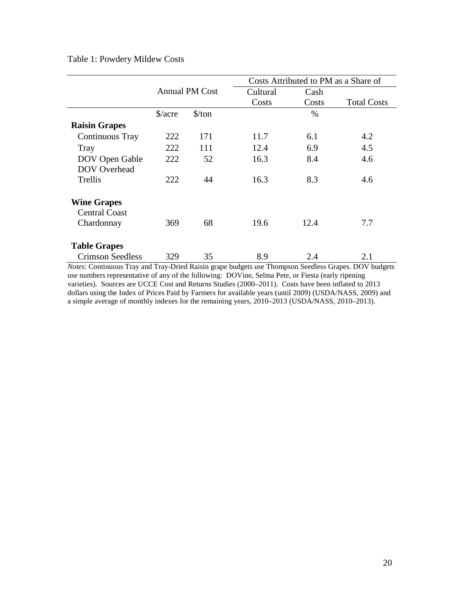## Table 1: Powdery Mildew Costs

|                                                          | <b>Annual PM Cost</b>          |                               |          | Costs Attributed to PM as a Share of |                    |  |
|----------------------------------------------------------|--------------------------------|-------------------------------|----------|--------------------------------------|--------------------|--|
|                                                          |                                |                               | Cultural | Cash                                 |                    |  |
|                                                          |                                |                               | Costs    | Costs                                | <b>Total Costs</b> |  |
|                                                          | $\frac{\text{S}}{\text{acre}}$ | $\frac{\text{S}}{\text{ton}}$ |          | $\%$                                 |                    |  |
| <b>Raisin Grapes</b>                                     |                                |                               |          |                                      |                    |  |
| Continuous Tray                                          | 222                            | 171                           | 11.7     | 6.1                                  | 4.2                |  |
| Tray                                                     | 222                            | 111                           | 12.4     | 6.9                                  | 4.5                |  |
| DOV Open Gable                                           | 222                            | 52                            | 16.3     | 8.4                                  | 4.6                |  |
| <b>DOV</b> Overhead                                      |                                |                               |          |                                      |                    |  |
| Trellis                                                  | 222                            | 44                            | 16.3     | 8.3                                  | 4.6                |  |
| <b>Wine Grapes</b><br><b>Central Coast</b><br>Chardonnay | 369                            | 68                            | 19.6     | 12.4                                 | 7.7                |  |
| <b>Table Grapes</b>                                      |                                |                               |          |                                      |                    |  |
| <b>Crimson Seedless</b>                                  | 329                            | 35                            | 8.9      | 2.4                                  | 2.1                |  |

*Notes*: Continuous Tray and Tray-Dried Raisin grape budgets use Thompson Seedless Grapes. DOV budgets use numbers representative of any of the following: DOVine, Selma Pete, or Fiesta (early ripening varieties). Sources are UCCE Cost and Returns Studies (2000–2011). Costs have been inflated to 2013 dollars using the Index of Prices Paid by Farmers for available years (until 2009) (USDA/NASS, 2009) and a simple average of monthly indexes for the remaining years, 2010–2013 (USDA/NASS, 2010–2013).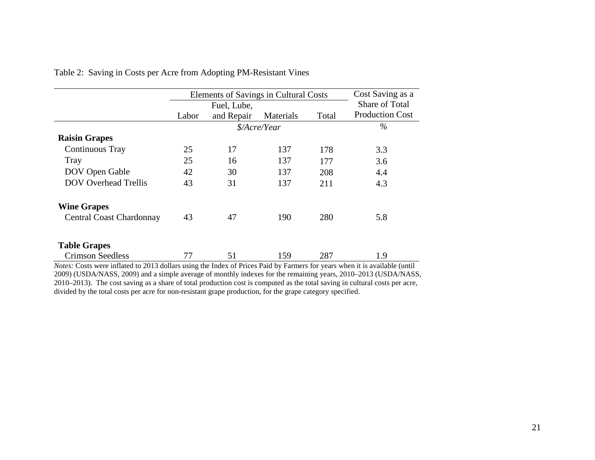|                                 | Elements of Savings in Cultural Costs<br>Fuel, Lube, |            |           |       | Cost Saving as a       |  |
|---------------------------------|------------------------------------------------------|------------|-----------|-------|------------------------|--|
|                                 |                                                      |            |           |       | Share of Total         |  |
|                                 | Labor                                                | and Repair | Materials | Total | <b>Production Cost</b> |  |
|                                 | \$/Acre/Year                                         |            |           |       | $\%$                   |  |
| <b>Raisin Grapes</b>            |                                                      |            |           |       |                        |  |
| Continuous Tray                 | 25                                                   | 17         | 137       | 178   | 3.3                    |  |
| <b>Tray</b>                     | 25                                                   | 16         | 137       | 177   | 3.6                    |  |
| DOV Open Gable                  | 42                                                   | 30         | 137       | 208   | 4.4                    |  |
| <b>DOV</b> Overhead Trellis     | 43                                                   | 31         | 137       | 211   | 4.3                    |  |
| <b>Wine Grapes</b>              |                                                      |            |           |       |                        |  |
| <b>Central Coast Chardonnay</b> | 43                                                   | 47         | 190       | 280   | 5.8                    |  |
|                                 |                                                      |            |           |       |                        |  |
| <b>Table Grapes</b>             |                                                      |            |           |       |                        |  |
| <b>Crimson Seedless</b>         | 77                                                   | 51         | 159       | 287   | 1.9                    |  |

Table 2: Saving in Costs per Acre from Adopting PM-Resistant Vines

*Notes:* Costs were inflated to 2013 dollars using the Index of Prices Paid by Farmers for years when it is available (until 2009) (USDA/NASS, 2009) and a simple average of monthly indexes for the remaining years, 2010–2013 (USDA/NASS, 2010–2013). The cost saving as a share of total production cost is computed as the total saving in cultural costs per acre, divided by the total costs per acre for non-resistant grape production, for the grape category specified.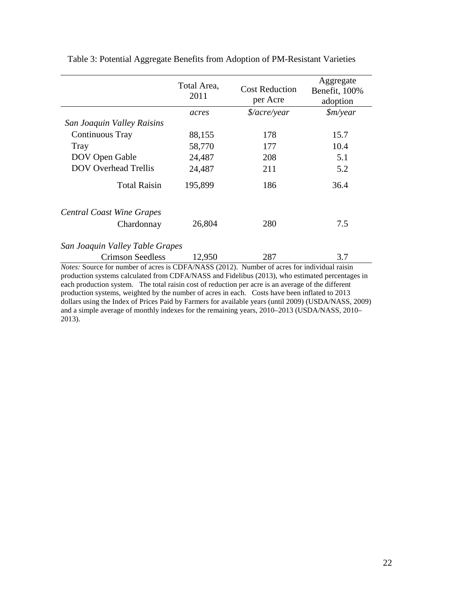|                                                                                                                                                                                                        | Total Area,<br>2011 | <b>Cost Reduction</b><br>per Acre | Aggregate<br>Benefit, 100%<br>adoption |  |  |
|--------------------------------------------------------------------------------------------------------------------------------------------------------------------------------------------------------|---------------------|-----------------------------------|----------------------------------------|--|--|
|                                                                                                                                                                                                        | acres               | $\frac{2}{a}$ cre/year            | $\frac{\sin\gamma}{\cos\gamma}$        |  |  |
| San Joaquin Valley Raisins                                                                                                                                                                             |                     |                                   |                                        |  |  |
| Continuous Tray                                                                                                                                                                                        | 88,155              | 178                               | 15.7                                   |  |  |
| Tray                                                                                                                                                                                                   | 58,770              | 177                               | 10.4                                   |  |  |
| DOV Open Gable                                                                                                                                                                                         | 24,487              | 208                               | 5.1                                    |  |  |
| <b>DOV</b> Overhead Trellis                                                                                                                                                                            | 24,487              | 211                               | 5.2                                    |  |  |
| <b>Total Raisin</b>                                                                                                                                                                                    | 195,899             | 186                               | 36.4                                   |  |  |
| <b>Central Coast Wine Grapes</b>                                                                                                                                                                       |                     |                                   |                                        |  |  |
| Chardonnay                                                                                                                                                                                             | 26,804              | 280                               | 7.5                                    |  |  |
| San Joaquin Valley Table Grapes                                                                                                                                                                        |                     |                                   |                                        |  |  |
| <b>Crimson Seedless</b>                                                                                                                                                                                | 12,950              | 287                               | 3.7                                    |  |  |
| <i>Notes:</i> Source for number of acres is CDFA/NASS (2012). Number of acres for individual raisin<br>production systems calculated from CDFA/NASS and Fidelibus (2013), who estimated percentages in |                     |                                   |                                        |  |  |

Table 3: Potential Aggregate Benefits from Adoption of PM-Resistant Varieties

production systems calculated from CDFA/NASS and Fidelibus [\(2013\)](#page-26-6), who estimated percentages in each production system. The total raisin cost of reduction per acre is an average of the different production systems, weighted by the number of acres in each. Costs have been inflated to 2013 dollars using the Index of Prices Paid by Farmers for available years (until 2009) (USDA/NASS, 2009) and a simple average of monthly indexes for the remaining years, 2010–2013 (USDA/NASS, 2010– 2013).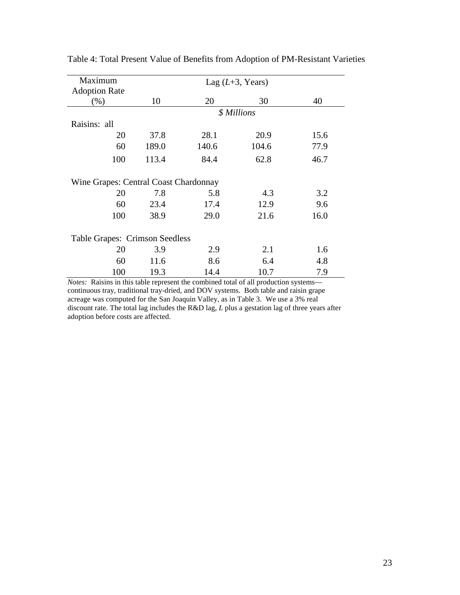| Maximum                               | Lag $(L+3, \text{Years})$ |       |       |      |  |  |
|---------------------------------------|---------------------------|-------|-------|------|--|--|
| <b>Adoption Rate</b>                  |                           |       |       |      |  |  |
| $(\% )$                               | 10                        | 20    | 30    | 40   |  |  |
|                                       | \$ Millions               |       |       |      |  |  |
| Raisins: all                          |                           |       |       |      |  |  |
| 20                                    | 37.8                      | 28.1  | 20.9  | 15.6 |  |  |
| 60                                    | 189.0                     | 140.6 | 104.6 | 77.9 |  |  |
| 100                                   | 113.4                     | 84.4  | 62.8  | 46.7 |  |  |
| Wine Grapes: Central Coast Chardonnay |                           |       |       |      |  |  |
| 20                                    | 7.8                       | 5.8   | 4.3   | 3.2  |  |  |
| 60                                    | 23.4                      | 17.4  | 12.9  | 9.6  |  |  |
| 100                                   | 38.9                      | 29.0  | 21.6  | 16.0 |  |  |
| <b>Table Grapes: Crimson Seedless</b> |                           |       |       |      |  |  |
| 20                                    | 3.9                       | 2.9   | 2.1   | 1.6  |  |  |
| 60                                    | 11.6                      | 8.6   | 6.4   | 4.8  |  |  |
| 100                                   | 19.3                      | 14.4  | 10.7  | 7.9  |  |  |

Table 4: Total Present Value of Benefits from Adoption of PM-Resistant Varieties

*Notes:* Raisins in this table represent the combined total of all production systems continuous tray, traditional tray-dried, and DOV systems. Both table and raisin grape acreage was computed for the San Joaquin Valley, as in Table 3. We use a 3% real discount rate. The total lag includes the R&D lag, *L* plus a gestation lag of three years after adoption before costs are affected.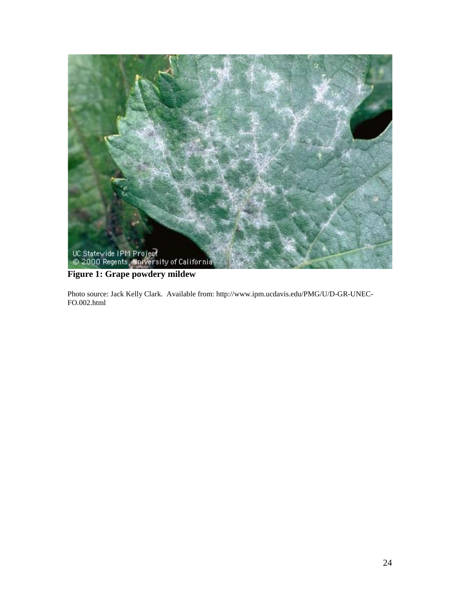

# **Figure 1: Grape powdery mildew**

Photo source: Jack Kelly Clark. Available from: http://www.ipm.ucdavis.edu/PMG/U/D-GR-UNEC-FO.002.html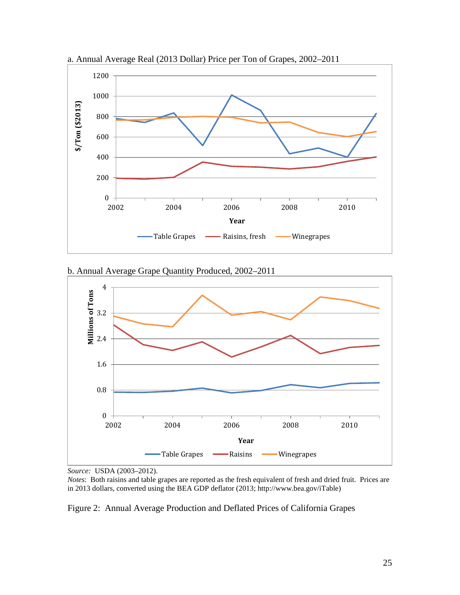

a. Annual Average Real (2013 Dollar) Price per Ton of Grapes, 2002–2011





*Source:* USDA (2003–2012).

*Notes*: Both raisins and table grapes are reported as the fresh equivalent of fresh and dried fruit. Prices are in 2013 dollars, converted using the BEA GDP deflator (2013; http://www.bea.gov/iTable)

Figure 2: Annual Average Production and Deflated Prices of California Grapes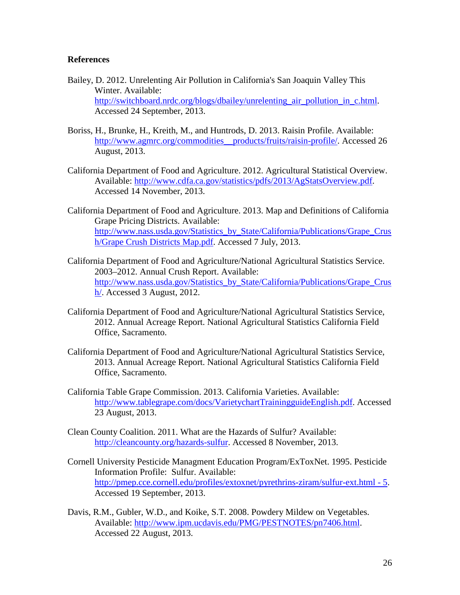## **References**

- <span id="page-25-3"></span>Bailey, D. 2012. Unrelenting Air Pollution in California's San Joaquin Valley This Winter. Available: [http://switchboard.nrdc.org/blogs/dbailey/unrelenting\\_air\\_pollution\\_in\\_c.html.](http://switchboard.nrdc.org/blogs/dbailey/unrelenting_air_pollution_in_c.html) Accessed 24 September, 2013.
- <span id="page-25-2"></span>Boriss, H., Brunke, H., Kreith, M., and Huntrods, D. 2013. Raisin Profile. Available: [http://www.agmrc.org/commodities\\_\\_products/fruits/raisin-profile/.](http://www.agmrc.org/commodities__products/fruits/raisin-profile/) Accessed 26 August, 2013.
- California Department of Food and Agriculture. 2012. Agricultural Statistical Overview. Available: [http://www.cdfa.ca.gov/statistics/pdfs/2013/AgStatsOverview.pdf.](http://www.cdfa.ca.gov/statistics/pdfs/2013/AgStatsOverview.pdf) Accessed 14 November, 2013.
- California Department of Food and Agriculture. 2013. Map and Definitions of California Grape Pricing Districts. Available: [http://www.nass.usda.gov/Statistics\\_by\\_State/California/Publications/Grape\\_Crus](http://www.nass.usda.gov/Statistics_by_State/California/Publications/Grape_Crush/Grape%20Crush%20Districts%20Map.pdf) [h/Grape Crush Districts Map.pdf.](http://www.nass.usda.gov/Statistics_by_State/California/Publications/Grape_Crush/Grape%20Crush%20Districts%20Map.pdf) Accessed 7 July, 2013.
- California Department of Food and Agriculture/National Agricultural Statistics Service. 2003–2012. Annual Crush Report. Available: [http://www.nass.usda.gov/Statistics\\_by\\_State/California/Publications/Grape\\_Crus](http://www.nass.usda.gov/Statistics_by_State/California/Publications/Grape_Crush/) [h/.](http://www.nass.usda.gov/Statistics_by_State/California/Publications/Grape_Crush/) Accessed 3 August, 2012.
- <span id="page-25-5"></span>California Department of Food and Agriculture/National Agricultural Statistics Service, 2012. Annual Acreage Report. National Agricultural Statistics California Field Office, Sacramento.
- California Department of Food and Agriculture/National Agricultural Statistics Service, 2013. Annual Acreage Report. National Agricultural Statistics California Field Office, Sacramento.
- <span id="page-25-1"></span>California Table Grape Commission. 2013. California Varieties. Available: [http://www.tablegrape.com/docs/VarietychartTrainingguideEnglish.pdf.](http://www.tablegrape.com/docs/VarietychartTrainingguideEnglish.pdf) Accessed 23 August, 2013.
- Clean County Coalition. 2011. What are the Hazards of Sulfur? Available: [http://cleancounty.org/hazards-sulfur.](http://cleancounty.org/hazards-sulfur) Accessed 8 November, 2013.
- <span id="page-25-4"></span>Cornell University Pesticide Managment Education Program/ExToxNet. 1995. Pesticide Information Profile: Sulfur. Available: [http://pmep.cce.cornell.edu/profiles/extoxnet/pyrethrins-ziram/sulfur-ext.html -](http://pmep.cce.cornell.edu/profiles/extoxnet/pyrethrins-ziram/sulfur-ext.html#5) 5. Accessed 19 September, 2013.
- <span id="page-25-0"></span>Davis, R.M., Gubler, W.D., and Koike, S.T. 2008. Powdery Mildew on Vegetables. Available: [http://www.ipm.ucdavis.edu/PMG/PESTNOTES/pn7406.html.](http://www.ipm.ucdavis.edu/PMG/PESTNOTES/pn7406.html) Accessed 22 August, 2013.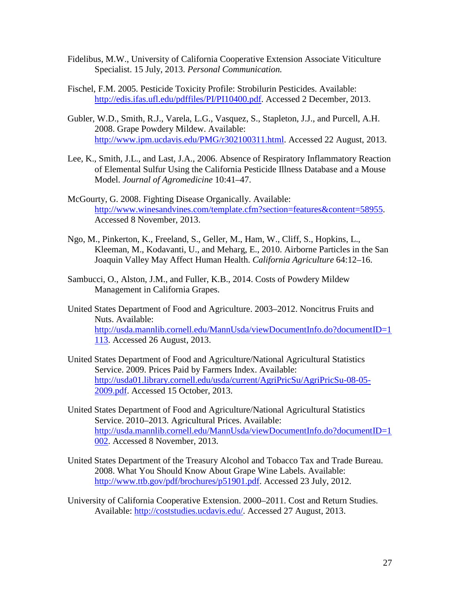- <span id="page-26-6"></span>Fidelibus, M.W., University of California Cooperative Extension Associate Viticulture Specialist. 15 July, 2013. *Personal Communication.*
- <span id="page-26-4"></span>Fischel, F.M. 2005. Pesticide Toxicity Profile: Strobilurin Pesticides. Available: [http://edis.ifas.ufl.edu/pdffiles/PI/PI10400.pdf.](http://edis.ifas.ufl.edu/pdffiles/PI/PI10400.pdf) Accessed 2 December, 2013.
- <span id="page-26-0"></span>Gubler, W.D., Smith, R.J., Varela, L.G., Vasquez, S., Stapleton, J.J., and Purcell, A.H. 2008. Grape Powdery Mildew. Available: [http://www.ipm.ucdavis.edu/PMG/r302100311.html.](http://www.ipm.ucdavis.edu/PMG/r302100311.html) Accessed 22 August, 2013.
- <span id="page-26-1"></span>Lee, K., Smith, J.L., and Last, J.A., 2006. Absence of Respiratory Inflammatory Reaction of Elemental Sulfur Using the California Pesticide Illness Database and a Mouse Model. *Journal of Agromedicine* 10:41–47.
- McGourty, G. 2008. Fighting Disease Organically. Available: [http://www.winesandvines.com/template.cfm?section=features&content=58955.](http://www.winesandvines.com/template.cfm?section=features&content=58955) Accessed 8 November, 2013.
- <span id="page-26-3"></span>Ngo, M., Pinkerton, K., Freeland, S., Geller, M., Ham, W., Cliff, S., Hopkins, L., Kleeman, M., Kodavanti, U., and Meharg, E., 2010. Airborne Particles in the San Joaquin Valley May Affect Human Health. *California Agriculture* 64:12–16.
- <span id="page-26-5"></span>Sambucci, O., Alston, J.M., and Fuller, K.B., 2014. Costs of Powdery Mildew Management in California Grapes.
- United States Department of Food and Agriculture. 2003–2012. Noncitrus Fruits and Nuts. Available: [http://usda.mannlib.cornell.edu/MannUsda/viewDocumentInfo.do?documentID=1](http://usda.mannlib.cornell.edu/MannUsda/viewDocumentInfo.do?documentID=1113) [113.](http://usda.mannlib.cornell.edu/MannUsda/viewDocumentInfo.do?documentID=1113) Accessed 26 August, 2013.
- United States Department of Food and Agriculture/National Agricultural Statistics Service. 2009. Prices Paid by Farmers Index. Available: [http://usda01.library.cornell.edu/usda/current/AgriPricSu/AgriPricSu-08-05-](http://usda01.library.cornell.edu/usda/current/AgriPricSu/AgriPricSu-08-05-2009.pdf) [2009.pdf.](http://usda01.library.cornell.edu/usda/current/AgriPricSu/AgriPricSu-08-05-2009.pdf) Accessed 15 October, 2013.
- United States Department of Food and Agriculture/National Agricultural Statistics Service. 2010–2013. Agricultural Prices. Available: [http://usda.mannlib.cornell.edu/MannUsda/viewDocumentInfo.do?documentID=1](http://usda.mannlib.cornell.edu/MannUsda/viewDocumentInfo.do?documentID=1002) [002.](http://usda.mannlib.cornell.edu/MannUsda/viewDocumentInfo.do?documentID=1002) Accessed 8 November, 2013.
- <span id="page-26-2"></span>United States Department of the Treasury Alcohol and Tobacco Tax and Trade Bureau. 2008. What You Should Know About Grape Wine Labels. Available: [http://www.ttb.gov/pdf/brochures/p51901.pdf.](http://www.ttb.gov/pdf/brochures/p51901.pdf) Accessed 23 July, 2012.
- University of California Cooperative Extension. 2000–2011. Cost and Return Studies. Available: [http://coststudies.ucdavis.edu/.](http://coststudies.ucdavis.edu/) Accessed 27 August, 2013.